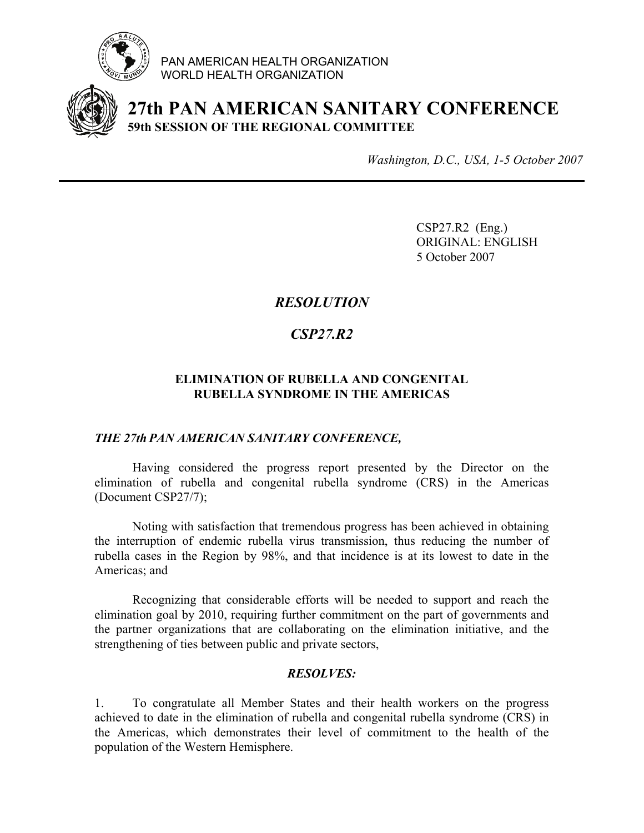

PAN AMERICAN HEALTH ORGANIZATION WORLD HEALTH ORGANIZATION



**27th PAN AMERICAN SANITARY CONFERENCE 59th SESSION OF THE REGIONAL COMMITTEE**

*Washington, D.C., USA, 1-5 October 2007*

 CSP27.R2 (Eng.) ORIGINAL: ENGLISH 5 October 2007

## *RESOLUTION*

# *CSP27.R2*

### **ELIMINATION OF RUBELLA AND CONGENITAL RUBELLA SYNDROME IN THE AMERICAS**

### *THE 27th PAN AMERICAN SANITARY CONFERENCE,*

 Having considered the progress report presented by the Director on the elimination of rubella and congenital rubella syndrome (CRS) in the Americas (Document CSP27/7);

 Noting with satisfaction that tremendous progress has been achieved in obtaining the interruption of endemic rubella virus transmission, thus reducing the number of rubella cases in the Region by 98%, and that incidence is at its lowest to date in the Americas; and

 Recognizing that considerable efforts will be needed to support and reach the elimination goal by 2010, requiring further commitment on the part of governments and the partner organizations that are collaborating on the elimination initiative, and the strengthening of ties between public and private sectors,

### *RESOLVES:*

1. To congratulate all Member States and their health workers on the progress achieved to date in the elimination of rubella and congenital rubella syndrome (CRS) in the Americas, which demonstrates their level of commitment to the health of the population of the Western Hemisphere.